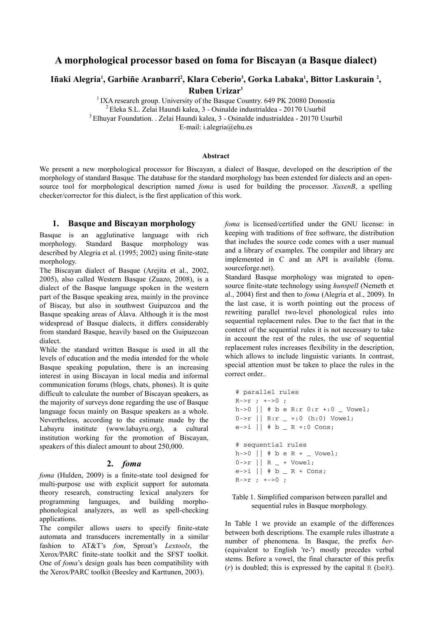# A morphological processor based on foma for Biscayan (a Basque dialect)

# Iñaki Alegria<sup>1</sup>, Garbiñe Aranbarri<sup>2</sup>, Klara Ceberio<sup>3</sup>, Gorka Labaka<sup>1</sup>, Bittor Laskurain <sup>2</sup>, Ruben Urizar<sup>1</sup>

<sup>1</sup> IXA research group. University of the Basque Country. 649 PK 20080 Donostia <sup>2</sup>Eleka S.L. Zelai Haundi kalea, 3 - Osinalde industrialdea - 20170 Usurbil <sup>3</sup>Elhuyar Foundation. . Zelai Haundi kalea, 3 - Osinalde industrialdea - 20170 Usurbil E-mail: i.alegria@ehu.es

Abstract

We present a new morphological processor for Biscayan, a dialect of Basque, developed on the description of the morphology of standard Basque. The database for the standard morphology has been extended for dialects and an opensource tool for morphological description named foma is used for building the processor. XuxenB, a spelling checker/corrector for this dialect, is the first application of this work.

#### 1. Basque and Biscayan morphology

Basque is an agglutinative language with rich morphology. Standard Basque morphology was described by Alegria et al. (1995; 2002) using finite-state morphology.

The Biscayan dialect of Basque (Arejita et al., 2002, 2005), also called Western Basque (Zuazo, 2008), is a dialect of the Basque language spoken in the western part of the Basque speaking area, mainly in the province of Biscay, but also in southwest Guipuzcoa and the Basque speaking areas of Álava. Although it is the most widespread of Basque dialects, it differs considerably from standard Basque, heavily based on the Guipuzcoan dialect.

While the standard written Basque is used in all the levels of education and the media intended for the whole Basque speaking population, there is an increasing interest in using Biscayan in local media and informal communication forums (blogs, chats, phones). It is quite difficult to calculate the number of Biscayan speakers, as the majority of surveys done regarding the use of Basque language focus mainly on Basque speakers as a whole. Nevertheless, according to the estimate made by the Labayru institute (www.labayru.org), a cultural institution working for the promotion of Biscayan, speakers of this dialect amount to about 250,000.

#### 2. foma

foma (Hulden, 2009) is a finite-state tool designed for multi-purpose use with explicit support for automata theory research, constructing lexical analyzers for programming languages, and building morphophonological analyzers, as well as spell-checking applications.

The compiler allows users to specify finite-state automata and transducers incrementally in a similar fashion to AT&T's fsm, Sproat's Lextools, the Xerox/PARC finite-state toolkit and the SFST toolkit. One of foma's design goals has been compatibility with the Xerox/PARC toolkit (Beesley and Karttunen, 2003).

foma is licensed/certified under the GNU license: in keeping with traditions of free software, the distribution that includes the source code comes with a user manual and a library of examples. The compiler and library are implemented in C and an API is available (foma. sourceforge.net).

Standard Basque morphology was migrated to opensource finite-state technology using hunspell (Nemeth et al., 2004) first and then to foma (Alegria et al., 2009). In the last case, it is worth pointing out the process of rewriting parallel two-level phonological rules into sequential replacement rules. Due to the fact that in the context of the sequential rules it is not necessary to take in account the rest of the rules, the use of sequential replacement rules increases flexibility in the description, which allows to include linguistic variants. In contrast, special attention must be taken to place the rules in the correct order..

```
# parallel rules 
R->r ; +->0 ;
h \rightarrow 0 || # b e R:r 0: r \rightarrow 0 | Vowel;
0 \rightarrow r || R:r _{-} +:0 (h:0) Vowel;
e \rightarrow i \mid | # b _ R +:0 Cons;
# sequential rules 
h \rightarrow 0 || # b e R + _ Vowel;
0 \rightarrow r || R - + Vowel;
e \rightarrow i || # b _ R + Cons;
R->r ; +->0 ;
```
#### Table 1. Simplified comparison between parallel and sequential rules in Basque morphology.

In Table 1 we provide an example of the differences between both descriptions. The example rules illustrate a number of phenomena. In Basque, the prefix ber- (equivalent to English 're-') mostly precedes verbal stems. Before a vowel, the final character of this prefix  $(r)$  is doubled; this is expressed by the capital R (beR).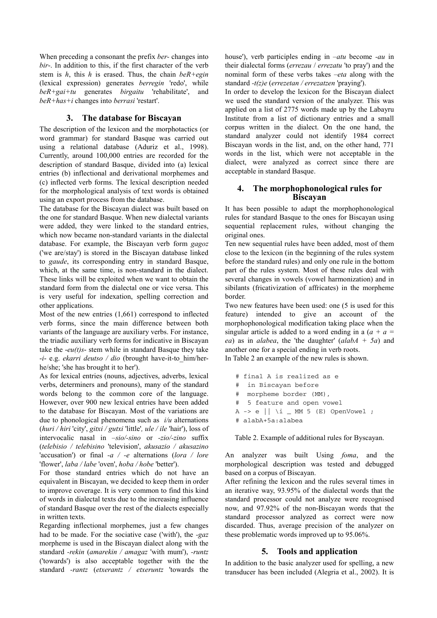When preceding a consonant the prefix ber- changes into bir-. In addition to this, if the first character of the verb stem is h, this h is erased. Thus, the chain  $beR+eein$ (lexical expression) generates berregin 'redo', while  $beR+gai+tu$  generates  $birgaitu$  'rehabilitate', and beR+has+i changes into berrasi 'restart'.

## 3. The database for Biscayan

The description of the lexicon and the morphotactics (or word grammar) for standard Basque was carried out using a relational database (Aduriz et al., 1998). Currently, around 100,000 entries are recorded for the description of standard Basque, divided into (a) lexical entries (b) inflectional and derivational morphemes and (c) inflected verb forms. The lexical description needed for the morphological analysis of text words is obtained using an export process from the database.

The database for the Biscayan dialect was built based on the one for standard Basque. When new dialectal variants were added, they were linked to the standard entries, which now became non-standard variants in the dialectal database. For example, the Biscayan verb form gagoz ('we are/stay') is stored in the Biscayan database linked to gaude, its corresponding entry in standard Basque, which, at the same time, is non-standard in the dialect. These links will be exploited when we want to obtain the standard form from the dialectal one or vice versa. This is very useful for indexation, spelling correction and other applications.

Most of the new entries (1,661) correspond to inflected verb forms, since the main difference between both variants of the language are auxiliary verbs. For instance, the triadic auxiliary verb forms for indicative in Biscayan take the  $-eu(t)s$ -stem while in standard Basque they take  $-i$ - e.g. *ekarri deutso / dio* (brought have-it-to him/herhe/she; 'she has brought it to her').

As for lexical entries (nouns, adjectives, adverbs, lexical verbs, determiners and pronouns), many of the standard words belong to the common core of the language. However, over 900 new lexical entries have been added to the database for Biscayan. Most of the variations are due to phonological phenomena such as  $i/u$  alternations (huri / hiri 'city', gitxi / gutxi 'little', ule / ile 'hair'), loss of intervocalic nasal in –sio/-sino or -zio/-zino suffix (telebisio / telebisino 'television', akusazio / akusazino 'accusation') or final  $-a$  /  $-e$  alternations (lora / lore 'flower', laba / labe 'oven', hoba / hobe 'better').

For those standard entries which do not have an equivalent in Biscayan, we decided to keep them in order to improve coverage. It is very common to find this kind of words in dialectal texts due to the increasing influence of standard Basque over the rest of the dialects especially in written texts.

Regarding inflectional morphemes, just a few changes had to be made. For the sociative case ('with'), the -gaz morpheme is used in the Biscayan dialect along with the standard -rekin (amarekin / amagaz 'with mum'), -runtz ('towards') is also acceptable together with the the standard -rantz (etxerantz / etxeruntz 'towards the house'), verb participles ending in  $-atu$  become  $-au$  in their dialectal forms (errezau / errezatu 'to pray') and the nominal form of these verbs takes –eta along with the standard  $-t(z)e$  (errezetan / errezatzen 'praying').

In order to develop the lexicon for the Biscayan dialect we used the standard version of the analyzer. This was applied on a list of 2775 words made up by the Labayru Institute from a list of dictionary entries and a small corpus written in the dialect. On the one hand, the standard analyzer could not identify 1984 correct Biscayan words in the list, and, on the other hand, 771 words in the list, which were not acceptable in the dialect, were analyzed as correct since there are acceptable in standard Basque.

## 4. The morphophonological rules for Biscayan

It has been possible to adapt the morphophonological rules for standard Basque to the ones for Biscayan using sequential replacement rules, without changing the original ones.

Ten new sequential rules have been added, most of them close to the lexicon (in the beginning of the rules system before the standard rules) and only one rule in the bottom part of the rules system. Most of these rules deal with several changes in vowels (vowel harmonization) and in sibilants (fricativization of affricates) in the morpheme border.

Two new features have been used: one (5 is used for this feature) intended to give an account of the morphophonological modification taking place when the singular article is added to a word ending in a  $(a + a =$ ea) as in alabea, the 'the daughter'  $(alabA + 5a)$  and another one for a special ending in verb roots.

In Table 2 an example of the new rules is shown.

```
# final A is realized as e 
# in Biscayan before 
# morpheme border (MM), 
# 5 feature and open vowel 
A \rightarrow e || \i _ MM 5 (E) OpenVowel ;
# alabA+5a:alabea
```
Table 2. Example of additional rules for Byscayan.

An analyzer was built Using foma, and the morphological description was tested and debugged based on a corpus of Biscayan.

After refining the lexicon and the rules several times in an iterative way, 93.95% of the dialectal words that the standard processor could not analyze were recognised now, and 97.92% of the non-Biscayan words that the standard processor analyzed as correct were now discarded. Thus, average precision of the analyzer on these problematic words improved up to 95.06%.

## 5. Tools and application

In addition to the basic analyzer used for spelling, a new transducer has been included (Alegria et al., 2002). It is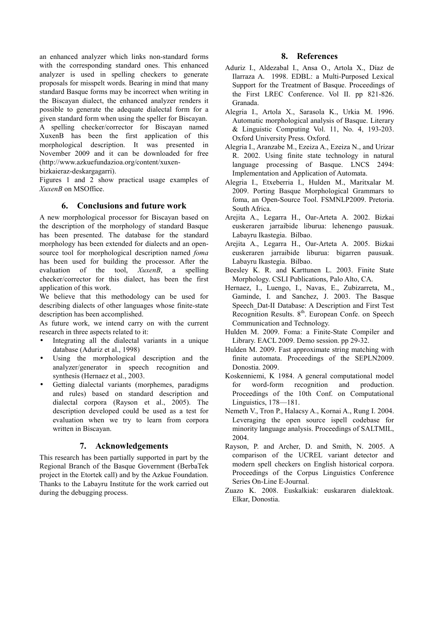an enhanced analyzer which links non-standard forms with the corresponding standard ones. This enhanced analyzer is used in spelling checkers to generate proposals for misspelt words. Bearing in mind that many standard Basque forms may be incorrect when writing in the Biscayan dialect, the enhanced analyzer renders it possible to generate the adequate dialectal form for a given standard form when using the speller for Biscayan. A spelling checker/corrector for Biscayan named XuxenB has been the first application of this morphological description. It was presented in November 2009 and it can be downloaded for free (http://www.azkuefundazioa.org/content/xuxen-

bizkaieraz-deskargagarri).

Figures 1 and 2 show practical usage examples of XuxenB on MSOffice.

#### 6. Conclusions and future work

A new morphological processor for Biscayan based on the description of the morphology of standard Basque has been presented. The database for the standard morphology has been extended for dialects and an opensource tool for morphological description named foma has been used for building the processor. After the evaluation of the tool, XuxenB, a spelling checker/corrector for this dialect, has been the first application of this work.

We believe that this methodology can be used for describing dialects of other languages whose finite-state description has been accomplished.

As future work, we intend carry on with the current research in three aspects related to it:

- Integrating all the dialectal variants in a unique database (Aduriz et al., 1998)
- Using the morphological description and the analyzer/generator in speech recognition and synthesis (Hernaez et al., 2003.
- Getting dialectal variants (morphemes, paradigms and rules) based on standard description and dialectal corpora (Rayson et al., 2005). The description developed could be used as a test for evaluation when we try to learn from corpora written in Biscayan.

## 7. Acknowledgements

This research has been partially supported in part by the Regional Branch of the Basque Government (BerbaTek project in the Etortek call) and by the Azkue Foundation. Thanks to the Labayru Institute for the work carried out during the debugging process.

## 8. References

- Aduriz I., Aldezabal I., Ansa O., Artola X., Díaz de Ilarraza A. 1998. EDBL: a Multi-Purposed Lexical Support for the Treatment of Basque. Proceedings of the First LREC Conference. Vol II. pp 821-826. Granada.
- Alegria I., Artola X., Sarasola K., Urkia M. 1996. Automatic morphological analysis of Basque. Literary & Linguistic Computing Vol. 11, No. 4, 193-203. Oxford University Press. Oxford.
- Alegria I., Aranzabe M., Ezeiza A., Ezeiza N., and Urizar R. 2002. Using finite state technology in natural language processing of Basque. LNCS 2494: Implementation and Application of Automata.
- Alegria I., Etxeberria I., Hulden M., Maritxalar M. 2009. Porting Basque Morphological Grammars to foma, an Open-Source Tool. FSMNLP2009. Pretoria. South Africa.
- Arejita A., Legarra H., Oar-Arteta A. 2002. Bizkai euskeraren jarraibide liburua: lehenengo pausuak. Labayru Ikastegia. Bilbao.
- Arejita A., Legarra H., Oar-Arteta A. 2005. Bizkai euskeraren jarraibide liburua: bigarren pausuak. Labayru Ikastegia. Bilbao.
- Beesley K. R. and Karttunen L. 2003. Finite State Morphology. CSLI Publications, Palo Alto, CA.
- Hernaez, I., Luengo, I., Navas, E., Zubizarreta, M., Gaminde, I. and Sanchez, J. 2003. The Basque Speech\_Dat-II Database: A Description and First Test Recognition Results. 8<sup>th</sup>. European Confe. on Speech Communication and Technology.
- Hulden M. 2009. Foma: a Finite-State Compiler and Library. EACL 2009. Demo session. pp 29-32.
- Hulden M. 2009. Fast approximate string matching with finite automata. Proceedings of the SEPLN2009. Donostia. 2009.
- Koskenniemi, K 1984. A general computational model for word-form recognition and production. Proceedings of the 10th Conf. on Computational Linguistics, 178—181.
- Nemeth V., Tron P., Halacsy A., Kornai A., Rung I. 2004. Leveraging the open source ispell codebase for minority language analysis. Proceedings of SALTMIL, 2004.
- Rayson, P. and Archer, D. and Smith, N. 2005. A comparison of the UCREL variant detector and modern spell checkers on English historical corpora. Proceedings of the Corpus Linguistics Conference Series On-Line E-Journal.
- Zuazo K. 2008. Euskalkiak: euskararen dialektoak. Elkar, Donostia.